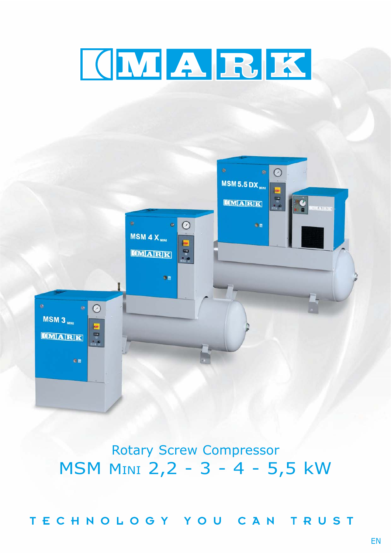



# Rotary Screw Compressor MSM MINI 2,2 - 3 - 4 - 5,5 kW

TECHNOLOGY YOU CAN TRUST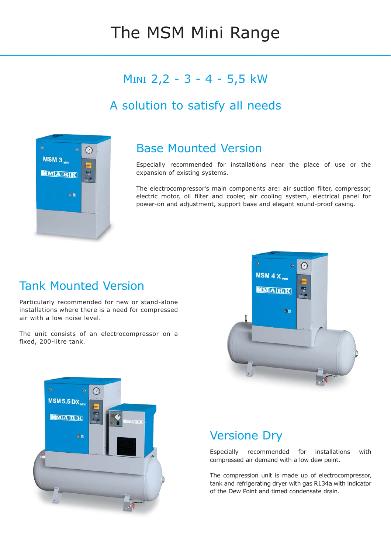# The MSM Mini Range

## MINI 2,2 - 3 - 4 - 5,5 kW

## A solution to satisfy all needs



#### Base Mounted Version

Especially recommended for installations near the place of use or the expansion of existing systems.

The electrocompressor's main components are: air suction filter, compressor, electric motor, oil filter and cooler, air cooling system, electrical panel for power-on and adjustment, support base and elegant sound-proof casing.

### Tank Mounted Version

Particularly recommended for new or stand-alone installations where there is a need for compressed air with a low noise level.

The unit consists of an electrocompressor on a fixed, 200-litre tank.





### Versione Dry

Especially recommended for installations with compressed air demand with a low dew point.

The compression unit is made up of electrocompressor, tank and refrigerating dryer with gas R134a with indicator of the Dew Point and timed condensate drain.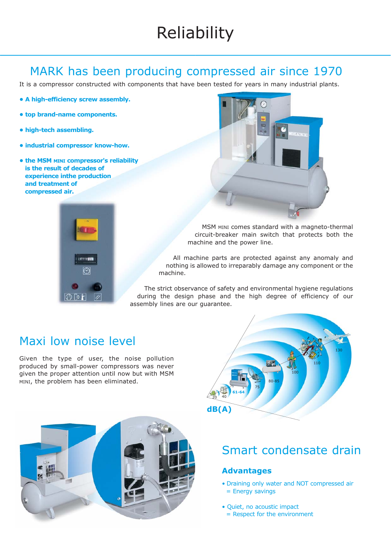# Reliability

#### MARK has been producing compressed air since 1970

It is a compressor constructed with components that have been tested for years in many industrial plants.

- **A high-efficiency screw assembly.**
- **top brand-name components.**
- **high-tech assembling.**
- **industrial compressor know-how.**
- **the MSM MINI compressor's reliability is the result of decades of experience inthe production and treatment of compressed air.**





MSM MINI comes standard with a magneto-thermal circuit-breaker main switch that protects both the machine and the power line.

All machine parts are protected against any anomaly and nothing is allowed to irreparably damage any component or the machine.

The strict observance of safety and environmental hygiene regulations during the design phase and the high degree of efficiency of our assembly lines are our guarantee.

### Maxi low noise level

Given the type of user, the noise pollution produced by small-power compressors was never given the proper attention until now but with MSM MINI, the problem has been eliminated.





### Smart condensate drain

#### **Advantages**

- Draining only water and NOT compressed air = Energy savings
- Quiet, no acoustic impact = Respect for the environment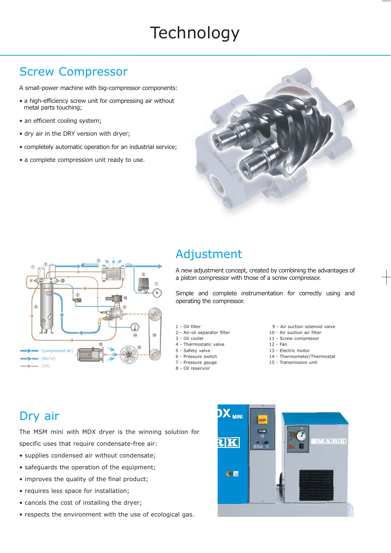# **Technology**

### Screw Compressor

A small-power machine with big-compressor components:

- a high-efficiency screw unit for compressing air without metal parts touching;
- an efficient cooling system;
- dry air in the DRY version with dryer;
- completely automatic operation for an industrial service;
- a complete compression unit ready to use.





### Adjustment

A new adjustment concept, created by combining the advantages of a piston compressor with those of a screw compressor.

Simple and complete instrumentation for correctly using and operating the compressor.

- 1 Oil filter
- 2 Air-oil separator filter
- 3 Oil cooler
- 4 Thermostatic valve
- 5 Safety valve
- 6 Pressure switch
- 7 Pressure gauge
- 8 Oil reservoir
- 9 Air suction solenoid valve
- 10 Air suction air filter
- 11 Screw compressor
- 12 Fan
- 13 Electric motor
- 14 Thermometer/Thermostat
- 15 Transmission unit

## Dry air

The MSM mini with MDX dryer is the winning solution for specific uses that require condensate-free air:

- supplies condensed air without condensate;
- safeguards the operation of the equipment;
- improves the quality of the final product:
- requires less space for installation;
- cancels the cost of installing the dryer;
- respects the environment with the use of ecological gas.

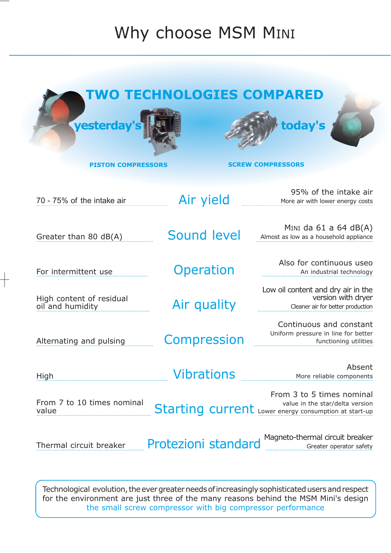# Why choose MSM MINI

| yesterday's                                  | TWO TECHNOLOGIES COMPARED | today's                                                                                                               |  |  |  |
|----------------------------------------------|---------------------------|-----------------------------------------------------------------------------------------------------------------------|--|--|--|
| <b>PISTON COMPRESSORS</b>                    |                           | <b>SCREW COMPRESSORS</b>                                                                                              |  |  |  |
| 70 - 75% of the intake air                   | Air yield                 | 95% of the intake air<br>More air with lower energy costs                                                             |  |  |  |
| Greater than 80 dB(A)                        | Sound level               | MINI da $61$ a $64$ dB(A)<br>Almost as low as a household appliance                                                   |  |  |  |
| For intermittent use                         | <b>Operation</b>          | Also for continuous useo<br>An industrial technology                                                                  |  |  |  |
| High content of residual<br>oil and humidity | Air quality               | Low oil content and dry air in the<br>version with dryer<br>Cleaner air for better production                         |  |  |  |
| Alternating and pulsing                      | <b>Compression</b>        | Continuous and constant<br>Uniform pressure in line for better<br>functioning utilities                               |  |  |  |
| High                                         | <b>Vibrations</b>         | Absent<br>More reliable components                                                                                    |  |  |  |
| From 7 to 10 times nominal<br>value          |                           | From 3 to 5 times nominal<br>value in the star/delta version<br>Starting current Lower energy consumption at start-up |  |  |  |
| Thermal circuit breaker                      | Protezioni standard       | Magneto-thermal circuit breaker<br>Greater operator safety                                                            |  |  |  |

Technological evolution, the ever greater needs ofincreasingly sophisticated users and respect for the environment are just three of the many reasons behind the MSM Mini's design the small screw compressor with big compressor performance